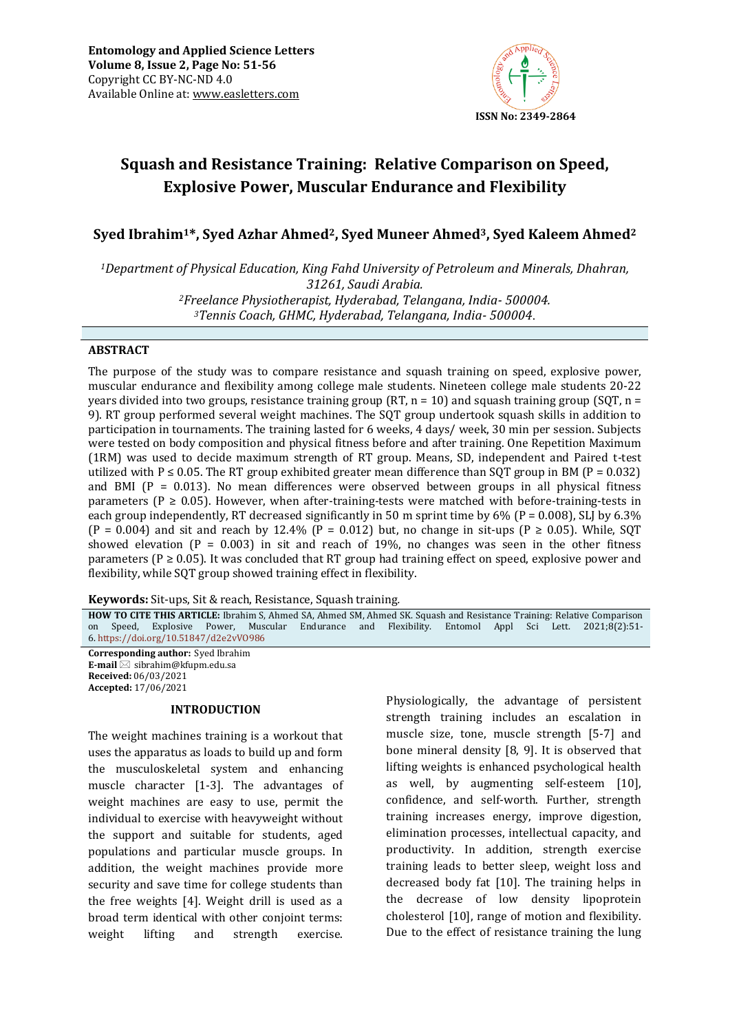

# **Squash and Resistance Training: Relative Comparison on Speed, Explosive Power, Muscular Endurance and Flexibility**

**Syed Ibrahim1\*, Syed Azhar Ahmed2, Syed Muneer Ahmed3, Syed Kaleem Ahmed<sup>2</sup>**

*Department of Physical Education, King Fahd University of Petroleum and Minerals, Dhahran, 31261, Saudi Arabia. Freelance Physiotherapist, Hyderabad, Telangana, India- 500004. Tennis Coach, GHMC, Hyderabad, Telangana, India- 500004*.

### **ABSTRACT**

The purpose of the study was to compare resistance and squash training on speed, explosive power, muscular endurance and flexibility among college male students. Nineteen college male students 20-22 years divided into two groups, resistance training group (RT, n = 10) and squash training group (SQT, n = 9). RT group performed several weight machines. The SQT group undertook squash skills in addition to participation in tournaments. The training lasted for 6 weeks, 4 days/ week, 30 min per session. Subjects were tested on body composition and physical fitness before and after training. One Repetition Maximum (1RM) was used to decide maximum strength of RT group. Means, SD, independent and Paired t-test utilized with P  $\leq$  0.05. The RT group exhibited greater mean difference than SQT group in BM (P = 0.032) and BMI ( $P = 0.013$ ). No mean differences were observed between groups in all physical fitness parameters ( $P \ge 0.05$ ). However, when after-training-tests were matched with before-training-tests in each group independently, RT decreased significantly in 50 m sprint time by 6% ( $P = 0.008$ ), SLJ by 6.3%  $(P = 0.004)$  and sit and reach by 12.4%  $(P = 0.012)$  but, no change in sit-ups  $(P \ge 0.05)$ . While, SQT showed elevation ( $P = 0.003$ ) in sit and reach of 19%, no changes was seen in the other fitness parameters ( $P \ge 0.05$ ). It was concluded that RT group had training effect on speed, explosive power and flexibility, while SQT group showed training effect in flexibility.

**Keywords:** Sit-ups, Sit & reach, Resistance, Squash training*.*

**HOW TO CITE THIS ARTICLE:** Ibrahim S, Ahmed SA, Ahmed SM, Ahmed SK. Squash and Resistance Training: Relative Comparison on Speed, Explosive Power, Muscular Endurance and Flexibility. Entomol Appl Sci Lett. 2021;8(2):51- 6. <https://doi.org/10.51847/d2e2vVO986>

**Corresponding author:** Syed Ibrahim **E-mail** ⊠ sibrahim@kfupm.edu.sa **Received:** 06/03/2021 **Accepted:** 17/06/2021

### **INTRODUCTION**

The weight machines training is a workout that uses the apparatus as loads to build up and form the musculoskeletal system and enhancing muscle character [1-3]. The advantages of weight machines are easy to use, permit the individual to exercise with heavyweight without the support and suitable for students, aged populations and particular muscle groups. In addition, the weight machines provide more security and save time for college students than the free weights [4]. Weight drill is used as a broad term identical with other conjoint terms: weight lifting and strength exercise.

Physiologically, the advantage of persistent strength training includes an escalation in muscle size, tone, muscle strength [5-7] and bone mineral density [8, 9]. It is observed that lifting weights is enhanced psychological health as well, by augmenting self-esteem [10], confidence, and self-worth. Further, strength training increases energy, improve digestion, elimination processes, intellectual capacity, and productivity. In addition, strength exercise training leads to better sleep, weight loss and decreased body fat [10]. The training helps in the decrease of low density lipoprotein cholesterol [10], range of motion and flexibility. Due to the effect of resistance training the lung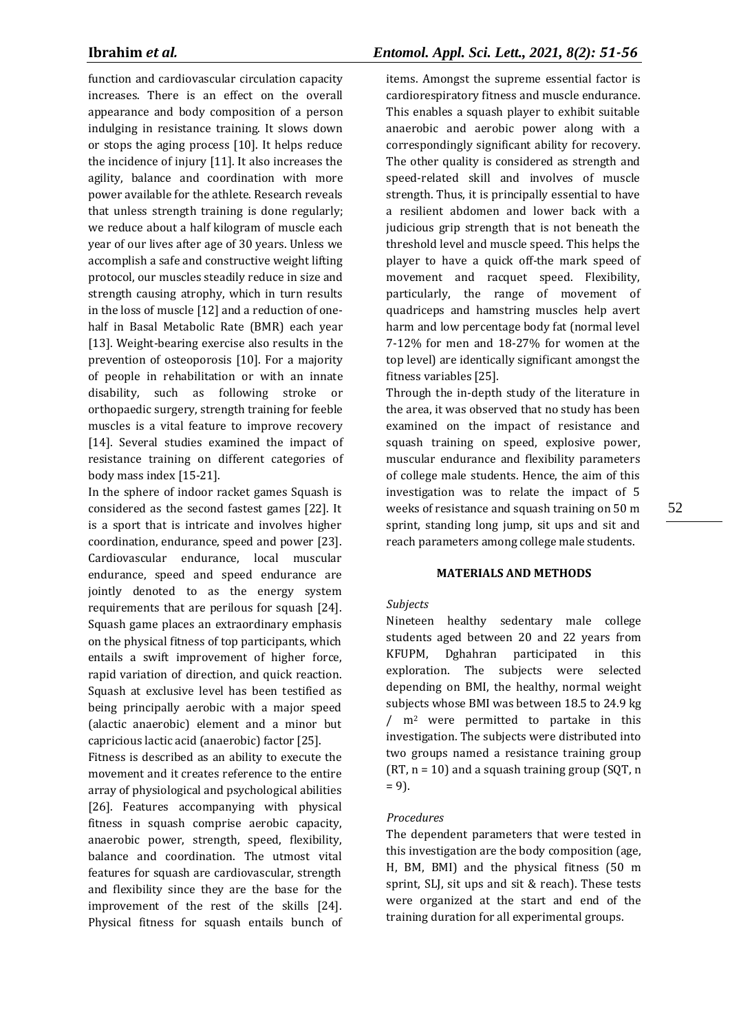function and cardiovascular circulation capacity increases. There is an effect on the overall appearance and body composition of a person indulging in resistance training. It slows down or stops the aging process [10]. It helps reduce the incidence of injury [11]. It also increases the agility, balance and coordination with more power available for the athlete. Research reveals that unless strength training is done regularly; we reduce about a half kilogram of muscle each year of our lives after age of 30 years. Unless we accomplish a safe and constructive weight lifting protocol, our muscles steadily reduce in size and strength causing atrophy, which in turn results in the loss of muscle [12] and a reduction of onehalf in Basal Metabolic Rate (BMR) each year [13]. Weight-bearing exercise also results in the prevention of osteoporosis [10]. For a majority of people in rehabilitation or with an innate disability, such as following stroke or orthopaedic surgery, strength training for feeble muscles is a vital feature to improve recovery [14]. Several studies examined the impact of resistance training on different categories of body mass index [15-21].

In the sphere of indoor racket games Squash is considered as the second fastest games [22]. It is a sport that is intricate and involves higher coordination, endurance, speed and power [23]. Cardiovascular endurance, local muscular endurance, speed and speed endurance are jointly denoted to as the energy system requirements that are perilous for squash [24]. Squash game places an extraordinary emphasis on the physical fitness of top participants, which entails a swift improvement of higher force, rapid variation of direction, and quick reaction. Squash at exclusive level has been testified as being principally aerobic with a major speed (alactic anaerobic) element and a minor but capricious lactic acid (anaerobic) factor [25].

Fitness is described as an ability to execute the movement and it creates reference to the entire array of physiological and psychological abilities [26]. Features accompanying with physical fitness in squash comprise aerobic capacity, anaerobic power, strength, speed, flexibility, balance and coordination. The utmost vital features for squash are cardiovascular, strength and flexibility since they are the base for the improvement of the rest of the skills [24]. Physical fitness for squash entails bunch of

# **Ibrahim** *et al.**Entomol. Appl. Sci. Lett., 2021, 8(2): 51-56*

items. Amongst the supreme essential factor is cardiorespiratory fitness and muscle endurance. This enables a squash player to exhibit suitable anaerobic and aerobic power along with a correspondingly significant ability for recovery. The other quality is considered as strength and speed-related skill and involves of muscle strength. Thus, it is principally essential to have a resilient abdomen and lower back with a judicious grip strength that is not beneath the threshold level and muscle speed. This helps the player to have a quick off-the mark speed of movement and racquet speed. Flexibility, particularly, the range of movement of quadriceps and hamstring muscles help avert harm and low percentage body fat (normal level 7-12% for men and 18-27% for women at the top level) are identically significant amongst the fitness variables [25].

Through the in-depth study of the literature in the area, it was observed that no study has been examined on the impact of resistance and squash training on speed, explosive power, muscular endurance and flexibility parameters of college male students. Hence, the aim of this investigation was to relate the impact of 5 weeks of resistance and squash training on 50 m sprint, standing long jump, sit ups and sit and reach parameters among college male students.

# **MATERIALS AND METHODS**

#### *Subjects*

Nineteen healthy sedentary male college students aged between 20 and 22 years from KFUPM, Dghahran participated in this exploration. The subjects were selected depending on BMI, the healthy, normal weight subjects whose BMI was between 18.5 to 24.9 kg / m<sup>2</sup> were permitted to partake in this investigation. The subjects were distributed into two groups named a resistance training group  $(RT, n = 10)$  and a squash training group  $(SQT, n)$  $= 9$ ).

#### *Procedures*

The dependent parameters that were tested in this investigation are the body composition (age, H, BM, BMI) and the physical fitness (50 m sprint, SLJ, sit ups and sit & reach). These tests were organized at the start and end of the training duration for all experimental groups.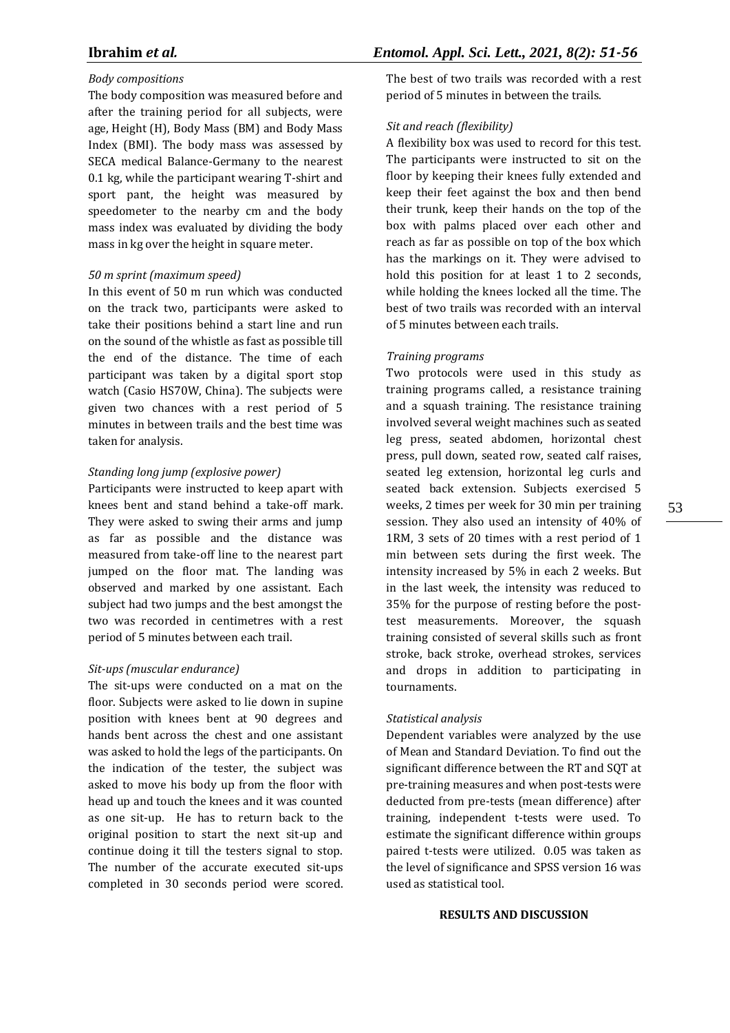### *Body compositions*

The body composition was measured before and after the training period for all subjects, were age, Height (H), Body Mass (BM) and Body Mass Index (BMI). The body mass was assessed by SECA medical Balance-Germany to the nearest 0.1 kg, while the participant wearing T-shirt and sport pant, the height was measured by speedometer to the nearby cm and the body mass index was evaluated by dividing the body mass in kg over the height in square meter.

### *50 m sprint (maximum speed)*

In this event of 50 m run which was conducted on the track two, participants were asked to take their positions behind a start line and run on the sound of the whistle as fast as possible till the end of the distance. The time of each participant was taken by a digital sport stop watch (Casio HS70W, China). The subjects were given two chances with a rest period of 5 minutes in between trails and the best time was taken for analysis.

#### *Standing long jump (explosive power)*

Participants were instructed to keep apart with knees bent and stand behind a take-off mark. They were asked to swing their arms and jump as far as possible and the distance was measured from take-off line to the nearest part jumped on the floor mat. The landing was observed and marked by one assistant. Each subject had two jumps and the best amongst the two was recorded in centimetres with a rest period of 5 minutes between each trail.

### *Sit-ups (muscular endurance)*

The sit-ups were conducted on a mat on the floor. Subjects were asked to lie down in supine position with knees bent at 90 degrees and hands bent across the chest and one assistant was asked to hold the legs of the participants. On the indication of the tester, the subject was asked to move his body up from the floor with head up and touch the knees and it was counted as one sit-up. He has to return back to the original position to start the next sit-up and continue doing it till the testers signal to stop. The number of the accurate executed sit-ups completed in 30 seconds period were scored. The best of two trails was recorded with a rest period of 5 minutes in between the trails.

#### *Sit and reach (flexibility)*

A flexibility box was used to record for this test. The participants were instructed to sit on the floor by keeping their knees fully extended and keep their feet against the box and then bend their trunk, keep their hands on the top of the box with palms placed over each other and reach as far as possible on top of the box which has the markings on it. They were advised to hold this position for at least 1 to 2 seconds, while holding the knees locked all the time. The best of two trails was recorded with an interval of 5 minutes between each trails.

#### *Training programs*

Two protocols were used in this study as training programs called, a resistance training and a squash training. The resistance training involved several weight machines such as seated leg press, seated abdomen, horizontal chest press, pull down, seated row, seated calf raises, seated leg extension, horizontal leg curls and seated back extension. Subjects exercised 5 weeks, 2 times per week for 30 min per training session. They also used an intensity of 40% of 1RM, 3 sets of 20 times with a rest period of 1 min between sets during the first week. The intensity increased by 5% in each 2 weeks. But in the last week, the intensity was reduced to 35% for the purpose of resting before the posttest measurements. Moreover, the squash training consisted of several skills such as front stroke, back stroke, overhead strokes, services and drops in addition to participating in tournaments.

#### *Statistical analysis*

Dependent variables were analyzed by the use of Mean and Standard Deviation. To find out the significant difference between the RT and SQT at pre-training measures and when post-tests were deducted from pre-tests (mean difference) after training, independent t-tests were used. To estimate the significant difference within groups paired t-tests were utilized. 0.05 was taken as the level of significance and SPSS version 16 was used as statistical tool.

#### **RESULTS AND DISCUSSION**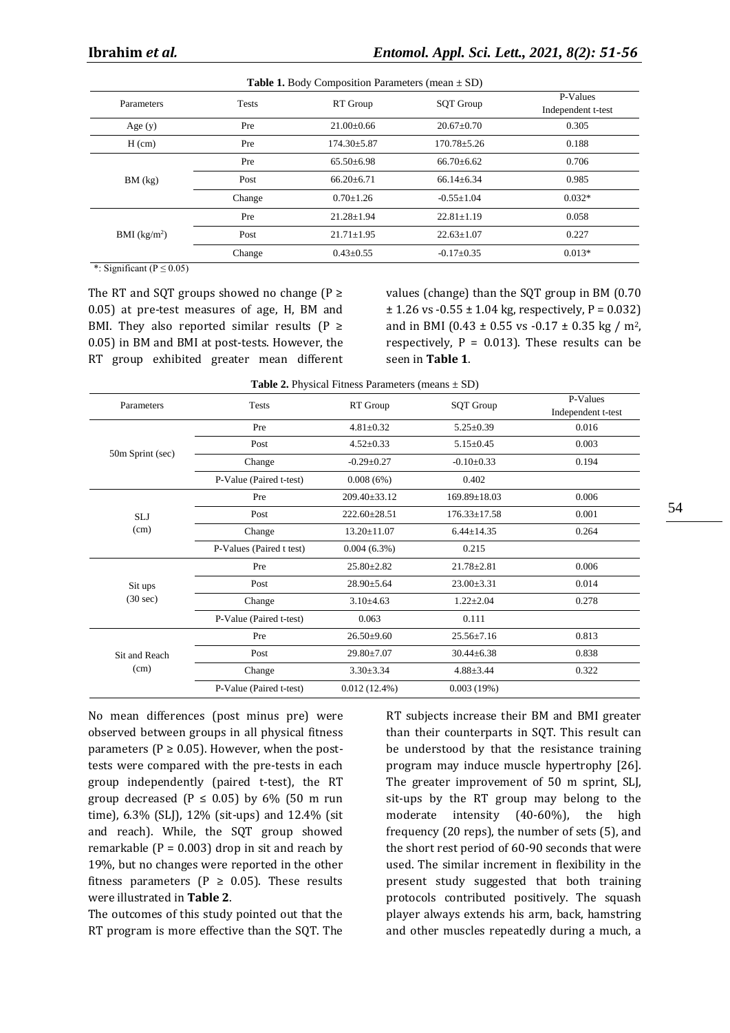| <b>Table 1.</b> Body Composition Farameters (mean $\pm$ SD) |              |                   |                   |                                |  |  |
|-------------------------------------------------------------|--------------|-------------------|-------------------|--------------------------------|--|--|
| Parameters                                                  | <b>Tests</b> | RT Group          | <b>SQT</b> Group  | P-Values<br>Independent t-test |  |  |
| Age $(y)$                                                   | Pre          | $21.00 \pm 0.66$  | $20.67 \pm 0.70$  | 0.305                          |  |  |
| $H$ (cm)                                                    | Pre          | $174.30 \pm 5.87$ | $170.78 \pm 5.26$ | 0.188                          |  |  |
| BM (kg)                                                     | Pre          | $65.50\pm 6.98$   | $66.70 \pm 6.62$  | 0.706                          |  |  |
|                                                             | Post         | $66.20 \pm 6.71$  | $66.14 \pm 6.34$  | 0.985                          |  |  |
|                                                             | Change       | $0.70 \pm 1.26$   | $-0.55 \pm 1.04$  | $0.032*$                       |  |  |
|                                                             | Pre          | $21.28 \pm 1.94$  | $22.81 \pm 1.19$  | 0.058                          |  |  |
| BMI (kg/m <sup>2</sup> )                                    | Post         | $21.71 \pm 1.95$  | $22.63 \pm 1.07$  | 0.227                          |  |  |
|                                                             | Change       | $0.43 \pm 0.55$   | $-0.17+0.35$      | $0.013*$                       |  |  |

**Table 1.** Body Composition Parameters (mean ± SD)

\*: Significant ( $P \le 0.05$ )

The RT and SQT groups showed no change  $(P \geq$ 0.05) at pre-test measures of age, H, BM and BMI. They also reported similar results ( $P \ge$ 0.05) in BM and BMI at post-tests. However, the RT group exhibited greater mean different values (change) than the SQT group in BM (0.70  $\pm$  1.26 vs -0.55  $\pm$  1.04 kg, respectively, P = 0.032) and in BMI (0.43  $\pm$  0.55 vs -0.17  $\pm$  0.35 kg / m<sup>2</sup>, respectively,  $P = 0.013$ . These results can be seen in **Table 1**.

|                               |                          | <b>Table 2.</b> I hysical Fitness I alameters (inealls $\pm$ SD) |                    |                                |
|-------------------------------|--------------------------|------------------------------------------------------------------|--------------------|--------------------------------|
| Parameters                    | Tests                    | RT Group                                                         | <b>SQT Group</b>   | P-Values<br>Independent t-test |
| 50m Sprint (sec)              | Pre                      | $4.81 \pm 0.32$                                                  | $5.25 \pm 0.39$    | 0.016                          |
|                               | Post                     | $4.52 \pm 0.33$                                                  | $5.15 \pm 0.45$    | 0.003                          |
|                               | Change                   | $-0.29 + 0.27$                                                   | $-0.10 \pm 0.33$   | 0.194                          |
|                               | P-Value (Paired t-test)  | 0.008(6%)                                                        | 0.402              |                                |
| <b>SLJ</b><br>(cm)            | Pre                      | $209.40 \pm 33.12$                                               | $169.89 \pm 18.03$ | 0.006                          |
|                               | Post                     | $222.60 \pm 28.51$                                               | $176.33 \pm 17.58$ | 0.001                          |
|                               | Change                   | $13.20 \pm 11.07$                                                | $6.44 \pm 14.35$   | 0.264                          |
|                               | P-Values (Paired t test) | $0.004(6.3\%)$                                                   | 0.215              |                                |
| Sit ups<br>$(30 \text{ sec})$ | Pre                      | $25.80 \pm 2.82$                                                 | $21.78 \pm 2.81$   | 0.006                          |
|                               | Post                     | 28.90±5.64                                                       | $23.00 \pm 3.31$   | 0.014                          |
|                               | Change                   | $3.10\pm4.63$                                                    | $1.22 \pm 2.04$    | 0.278                          |
|                               | P-Value (Paired t-test)  | 0.063                                                            | 0.111              |                                |
| Sit and Reach<br>(cm)         | Pre                      | $26.50 \pm 9.60$                                                 | $25.56 \pm 7.16$   | 0.813                          |
|                               | Post                     | 29.80±7.07                                                       | $30.44 \pm 6.38$   | 0.838                          |
|                               | Change                   | $3.30 \pm 3.34$                                                  | $4.88 \pm 3.44$    | 0.322                          |
|                               | P-Value (Paired t-test)  | $0.012(12.4\%)$                                                  | 0.003(19%)         |                                |

|  |  | <b>Table 2.</b> Physical Fitness Parameters (means $\pm$ SD) |
|--|--|--------------------------------------------------------------|
|  |  |                                                              |

No mean differences (post minus pre) were observed between groups in all physical fitness parameters ( $P \ge 0.05$ ). However, when the posttests were compared with the pre-tests in each group independently (paired t-test), the RT group decreased ( $P \le 0.05$ ) by 6% (50 m run time), 6.3% (SLJ), 12% (sit-ups) and 12.4% (sit and reach). While, the SQT group showed remarkable ( $P = 0.003$ ) drop in sit and reach by 19%, but no changes were reported in the other fitness parameters ( $P \geq 0.05$ ). These results were illustrated in **Table 2**.

The outcomes of this study pointed out that the RT program is more effective than the SQT. The

RT subjects increase their BM and BMI greater than their counterparts in SQT. This result can be understood by that the resistance training program may induce muscle hypertrophy [26]. The greater improvement of 50 m sprint, SLJ, sit-ups by the RT group may belong to the moderate intensity (40-60%), the high frequency (20 reps), the number of sets (5), and the short rest period of 60-90 seconds that were used. The similar increment in flexibility in the present study suggested that both training protocols contributed positively. The squash player always extends his arm, back, hamstring and other muscles repeatedly during a much, a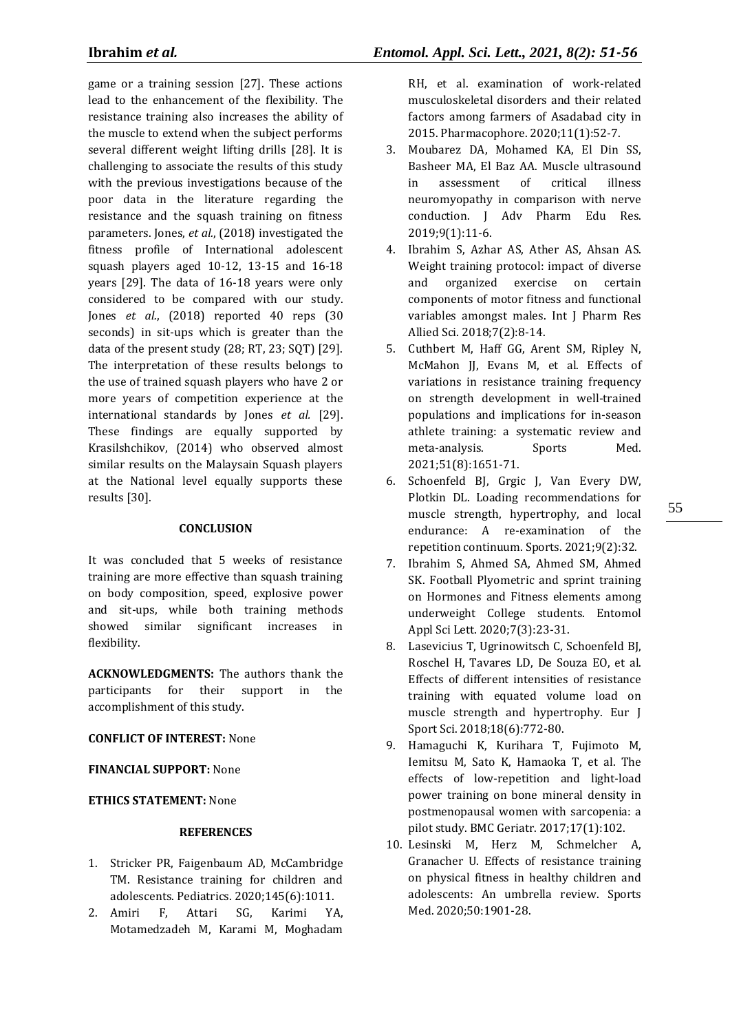game or a training session [27]. These actions lead to the enhancement of the flexibility. The resistance training also increases the ability of the muscle to extend when the subject performs several different weight lifting drills [28]. It is challenging to associate the results of this study with the previous investigations because of the poor data in the literature regarding the resistance and the squash training on fitness parameters. Jones, *et al.*, (2018) investigated the fitness profile of International adolescent squash players aged 10-12, 13-15 and 16-18 years [29]. The data of 16-18 years were only considered to be compared with our study. Jones *et al.*, (2018) reported 40 reps (30 seconds) in sit-ups which is greater than the data of the present study (28; RT, 23; SQT) [29]. The interpretation of these results belongs to the use of trained squash players who have 2 or more years of competition experience at the international standards by Jones *et al.* [29]. These findings are equally supported by Krasilshchikov, (2014) who observed almost similar results on the Malaysain Squash players at the National level equally supports these results [30].

### **CONCLUSION**

It was concluded that 5 weeks of resistance training are more effective than squash training on body composition, speed, explosive power and sit-ups, while both training methods showed similar significant increases in flexibility.

**ACKNOWLEDGMENTS:** The authors thank the participants for their support in the accomplishment of this study.

# **CONFLICT OF INTEREST:** None

**FINANCIAL SUPPORT:** None

# **ETHICS STATEMENT:** None

# **REFERENCES**

- 1. Stricker PR, Faigenbaum AD, McCambridge TM. Resistance training for children and adolescents. Pediatrics. 2020;145(6):1011.
- 2. Amiri F, Attari SG, Karimi YA, Motamedzadeh M, Karami M, Moghadam

RH, et al. examination of work-related musculoskeletal disorders and their related factors among farmers of Asadabad city in 2015. Pharmacophore. 2020;11(1):52-7.

- 3. Moubarez DA, Mohamed KA, El Din SS, Basheer MA, El Baz AA. Muscle ultrasound in assessment of critical illness neuromyopathy in comparison with nerve conduction. J Adv Pharm Edu Res. 2019;9(1):11-6.
- 4. Ibrahim S, Azhar AS, Ather AS, Ahsan AS. Weight training protocol: impact of diverse and organized exercise on certain components of motor fitness and functional variables amongst males. Int J Pharm Res Allied Sci. 2018;7(2):8-14.
- 5. Cuthbert M, Haff GG, Arent SM, Ripley N, McMahon JJ, Evans M, et al. Effects of variations in resistance training frequency on strength development in well-trained populations and implications for in-season athlete training: a systematic review and meta-analysis. Sports Med. 2021;51(8):1651-71.
- 6. Schoenfeld BJ, Grgic J, Van Every DW, Plotkin DL. Loading recommendations for muscle strength, hypertrophy, and local endurance: A re-examination of the repetition continuum. Sports. 2021;9(2):32.
- 7. Ibrahim S, Ahmed SA, Ahmed SM, Ahmed SK. Football Plyometric and sprint training on Hormones and Fitness elements among underweight College students. Entomol Appl Sci Lett. 2020;7(3):23-31.
- 8. Lasevicius T, Ugrinowitsch C, Schoenfeld BJ, Roschel H, Tavares LD, De Souza EO, et al. Effects of different intensities of resistance training with equated volume load on muscle strength and hypertrophy. Eur J Sport Sci. 2018;18(6):772-80.
- 9. Hamaguchi K, Kurihara T, Fujimoto M, Iemitsu M, Sato K, Hamaoka T, et al. The effects of low-repetition and light-load power training on bone mineral density in postmenopausal women with sarcopenia: a pilot study. BMC Geriatr. 2017;17(1):102.
- 10. Lesinski M, Herz M, Schmelcher A, Granacher U. Effects of resistance training on physical fitness in healthy children and adolescents: An umbrella review. Sports Med. 2020;50:1901-28.